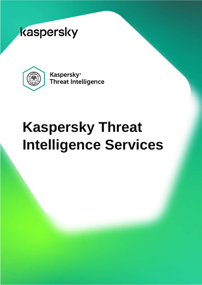

Kaspersky<sup>®</sup> Threat Intelligence

# **Kaspersky Threat Intelligence Services**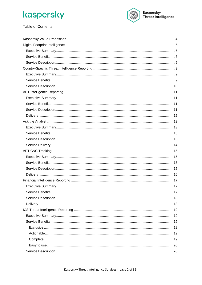

#### **Table of Contents**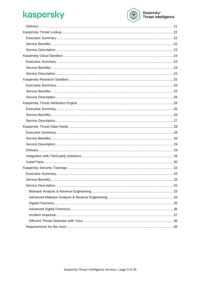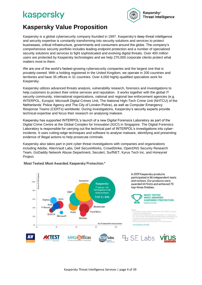

### <span id="page-3-0"></span>**Kaspersky Value Proposition**

Kaspersky is a global cybersecurity company founded in 1997. Kaspersky's deep threat intelligence and security expertise is constantly transforming into security solutions and services to protect businesses, critical infrastructure, governments and consumers around the globe. The company's comprehensive security portfolio includes leading endpoint protection and a number of specialized security solutions and services to fight sophisticated and evolving digital threats. Over 400 million users are protected by Kaspersky technologies and we help 270,000 corporate clients protect what matters most to them.

We are one of the world's fastest-growing cybersecurity companies and the largest one that is privately-owned. With a holding registered in the United Kingdom, we operate in 200 countries and territories and have 35 offices in 31 countries. Over 4,000 highly-qualified specialists work for Kaspersky.

Kaspersky utilizes advanced threats analysis, vulnerability research, forensics and investigations to help customers to protect their online services and reputation. It works together with the global IT security community, international organizations, national and regional law enforcement agencies (e.g. INTERPOL, Europol, Microsoft Digital Crimes Unit, The National High-Tech Crime Unit (NHTCU) of the Netherlands' Police Agency and The City of London Police), as well as Computer Emergency Response Teams (CERTs) worldwide. During investigations, Kaspersky's security experts provide technical expertise and focus their research on analysing malware.

Kaspersky has supported INTERPOL's launch of a new Digital Forensics Laboratory as part of the Digital Crime Centre at the Global Complex for Innovation (IGCI) in Singapore. The Digital Forensics Laboratory is responsible for carrying out the technical part of INTERPOL's investigations into cyberincidents. It uses cutting-edge techniques and software to analyse malware, identifying and presenting evidence of illegal actions to help prosecute criminals.

Kaspersky also takes part in joint cyber threat investigations with companies and organizations including Adobe, AlienVault Labs, Dell SecureWorks, CrowdStrike, OpenDNS Security Research Team, GoDaddy Network Abuse Department, Seculert, SurfNET, Kyrus Tech Inc. and Honeynet Project.



Most Tested. Most Awarded. Kaspersky Protection.\*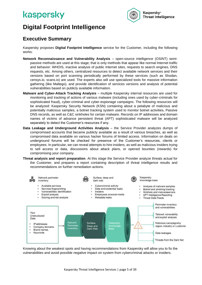

## <span id="page-4-0"></span>**Digital Footprint Intelligence**

### <span id="page-4-1"></span>**Executive Summary**

Kaspersky proposes **Digital Footprint Intelligence** service for the Customer, including the following works:

- **Network Reconnaissance and Vulnerability Analysis** open-source intelligence (OSINT) semipassive methods are used at this stage; that is only methods that appear like normal Internet traffic and behavior: WHOIS, inactive analysis of public Internet sites, requests to search engines, DNS requests, etc. Among others, centralized resources to detect available network services and their versions based on port scanning periodically performed by these services (such as Shodan, censys.io, scans.io) are used. The experts also will use specialized tools for massive information gathering (like Maltego), and provide identification of services versions and analysis of potential vulnerabilities based on publicly available information.
- **Malware and Cyber-Attack Tracking Analysis** multiple Kaspersky internal resources are used for monitoring and tracking of actions of various malware (including ones used by cyber-criminals for sophisticated fraud), cyber-criminal and cyber-espionage campaigns. The following resources will be analyzed: Kaspersky Security Network (KSN) containing about a petabyte of malicious and potentially malicious samples, a botnet tracking system used to monitor botnet activities, Passive DNS records, as well as C&C sinkholes for certain malware. Records on IP addresses and domain names of victims of advance persistent threat (APT) sophisticated malware will be analyzed separately to detect the Customer's resources if any.
- **Data Leakage and Underground Activities Analysis** the Service Provider analyzes dumps of compromised accounts that became publicly available as a result of various breaches, as well as compromised data available on various hacker forums of limited access. Information on deals on underground forums will be checked for presence of the Customer's resources, clients or employees. In particular, we can reveal attempts to hire insiders, as well as malicious insiders trying to sell access or data, discussions about attack plans, or opened bounties (rewards) for compromising your company.
- **Threat analysis and report preparation**. At this stage the Service Provider analyze threats actual for the Customer, and prepares a report containing description of threat intelligence results and recommendations on further remediation actions.



Knowing about the weakest spots and having recommendations from Kaspersky will allow you to fix the vulnerabilities and avoid possible negative impact on system from cybercriminal attacks or insiders.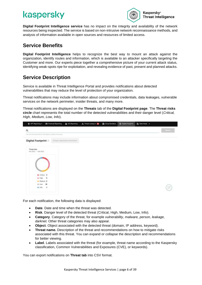

**Digital Footprint Intelligence service** has no impact on the integrity and availability of the network resources being inspected. The service is based on non-intrusive network reconnaissance methods, and analysis of information available in open sources and resources of limited access.

### <span id="page-5-0"></span>**Service Benefits**

**Digital Footprint Intelligence** helps to recognize the best way to mount an attack against the organization, identify routes and information, which is available to an attacker specifically targeting the Customer and more. Our experts piece together a comprehensive picture of your current attack status, identifying weak-spots ripe for exploitation, and revealing evidence of past, present and planned attacks.

### <span id="page-5-1"></span>**Service Description**

Service is available in Threat Intelligence Portal and provides notifications about detected vulnerabilities that may reduce the level of protection of your organization.

Threat notifications may include information about compromised credentials, data leakages, vulnerable services on the network perimeter, insider threats, and many more.

Threat notifications are displayed on the **Threats** tab of the **Digital Footprint page**. The **Threat risks circle** chart represents the total number of the detected vulnerabilities and their danger level (*Critical, High, Medium, Low, Info*).

| $0$ APT Reporting $\star$                                          | <b>ED</b> Financial Reporting<br>CS Reporting | A Threat Lookup + | C Cloud Sandbox | <b>@ Digital Footprint</b> | <b>Ba</b> Deta Feeds + |        |
|--------------------------------------------------------------------|-----------------------------------------------|-------------------|-----------------|----------------------------|------------------------|--------|
| $\alpha$                                                           |                                               |                   |                 |                            |                        | Hours. |
| Use the basis (pressurably solution parts at falleds to the desiry |                                               |                   |                 |                            |                        |        |
| Digital Footprint                                                  | Change organization information               |                   |                 |                            |                        |        |
| <b>Threat risks</b><br>Feb 2021 - Feb 2021                         |                                               |                   |                 |                            |                        |        |
|                                                                    |                                               |                   |                 |                            |                        |        |
|                                                                    |                                               |                   |                 |                            |                        |        |
| Critical 3                                                         |                                               |                   |                 |                            |                        |        |
| High 5                                                             |                                               |                   |                 |                            |                        |        |
| - Medium 4<br>10<br>$\equiv$ 1.0w                                  |                                               |                   |                 |                            |                        |        |
| $0$ info<br>法                                                      |                                               |                   |                 |                            |                        | (US    |
|                                                                    |                                               |                   |                 |                            |                        |        |

For each notification, the following data is displayed:

- **Date**. Date and time when the threat was detected.
- **Risk**. Danger level of the detected threat (Critical, High, Medium, Low, Info).
- **Category**. Category of the threat, for example *vulnerability, malware, person, leakage, darknet.* Other threat categories may also appear.
- **Object**. Object associated with the detected threat (domain, IP address, keyword).
- **Threat name.** Description of the threat and recommendations on how to mitigate risks associated with this threat. You can expand or collapse the description and recommendations for better viewing.
- **Label**. Labels associated with the threat (for example, threat name according to the Kaspersky classification, Common Vulnerabilities and Exposures (CVE), or keywords).

You can export notifications on **Threat tab** into CSV format.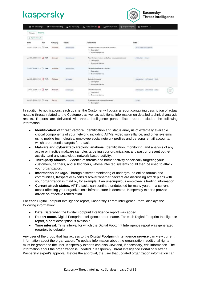

| Thieads:                                                                | <b>Beports</b> |              |                                        |                                                                                               |                                                     |
|-------------------------------------------------------------------------|----------------|--------------|----------------------------------------|-----------------------------------------------------------------------------------------------|-----------------------------------------------------|
| L Export all results                                                    |                |              |                                        |                                                                                               |                                                     |
| Date                                                                    | Rick           | Category     | <b>Bacilier</b><br><b>Object</b>       | PER CARTASTAD<br>Threat name                                                                  | n sa<br>Label                                       |
| Jun 05: 2020 17:57 (3) Low                                              |                | Malware      | <b>SERVICETIVE</b>                     | Detected new communicating samples:<br>> Description<br>3 Necommendations                     | THESE THINK WHAT CARRY                              |
| Jun 05, 2020 1751 11 High                                               |                | Lestage      | <b>JESTIARIZOTT</b>                    | New soman mention on Surface with was discovered<br><b>P</b> Description<br>3 Recommendations | <b>ADjubay</b> Bases                                |
| Jun 05, 2020 17:36 C Low                                                |                | Maware       | <b>OUTSTURF</b>                        | Detected new referrer samples<br>> Description<br>3 Necommendations                           |                                                     |
| CONFIDENTIAL REPORT OF A 1990 FOR A 1990 FOR<br>Jun 05, 2020 11 11 High |                | Malware      | 40500-0<br>LETAIL WE<br><b>FEED</b>    | Subscribe Burg Art Hotels<br>Detected new urb.<br>3 Description<br>P Recommendations          | TRANSMISS APTIMAGE COC<br>anyther and recovered the |
| Jun 05, 2020 17:11 11 High                                              |                | Matwore      | SAFFRIDA CEL                           | Detected new uris.<br>> Description<br><b>Recommendations</b>                                 | TRAVANT STR. MPT ANGERS'S<br><b>Circ</b><br>顶       |
| Jun 05, 2020 1701 13 Low                                                |                | Person<br>we | <b>BUYUMLOOTT</b><br><b>CONTRACTOR</b> | Employee email address discovered<br>3 Description                                            | $\pm$ unt                                           |

In addition to notifications, each quarter the Customer will obtain a report containing description of actual notable threats related to the Customer, as well as additional information on detailed technical analysis results. Reports are delivered via threat intelligence portal. Each report includes the following information:

- **Identification of threat vectors.** Identification and status analysis of externally available critical components of your network, including ATMs, video surveillance, and other systems using mobile technologies, employee social network profiles and personal email accounts, which are potential targets for attack.
- **Malware and cyberattack tracking analysis.** Identification, monitoring, and analysis of any active or inactive malware samples targeting your organization, any past or present botnet activity, and any suspicious network-based activity.
- **Third-party attacks.** Evidence of threats and botnet activity specifically targeting your customers, partners, and subscribers, whose infected systems could then be used to attack your organization.
- **Information leakage.** Through discreet monitoring of underground online forums and communities, Kaspersky experts discover whether hackers are discussing attack plans with your organization in mind or, for example, if an unscrupulous employee is trading information.
- **Current attack status.** APT attacks can continue undetected for many years. If a current attack affecting your organization's infrastructure is detected, Kaspersky experts provide advice on effective remediation.

For each Digital Footprint Intelligence report, Kaspersky Threat Intelligence Portal displays the following information:

- **Date.** Date when the Digital Footprint Intelligence report was added.
- **Report name.** Digital Footprint Intelligence report name. For each Digital Footprint Intelligence report, a brief description is available.
- **Time interval.** Time interval for which the Digital Footprint Intelligence report was generated (quarter, by default).

Any user of the group that has access to the **Digital Footprint Intelligence service** can view current information about the organization. To update information about the organization, additional rights must be granted to the user. Kaspersky experts can also view and, if necessary, edit information. The information about the organization is updated in Kaspersky Threat Intelligence Portal only after a Kaspersky expert's approval. Before the approval, the user that updated organization information can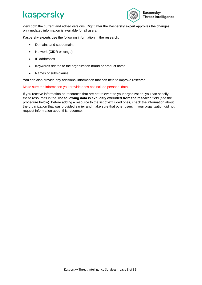

view both the current and edited versions. Right after the Kaspersky expert approves the changes, only updated information is available for all users.

Kaspersky experts use the following information in the research:

- Domains and subdomains
- Network (CIDR or range)
- IP addresses
- Keywords related to the organization brand or product name
- Names of subsidiaries

You can also provide any additional information that can help to improve research.

Make sure the information you provide does not include personal data.

If you receive information on resources that are not relevant to your organization, you can specify these resources in the **The following data is explicitly excluded from the research** field (see the procedure below). Before adding a resource to the list of excluded ones, check the information about the organization that was provided earlier and make sure that other users in your organization did not request information about this resource.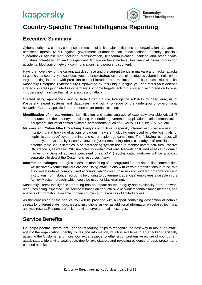

## <span id="page-8-0"></span>**Country-Specific Threat Intelligence Reporting**

### <span id="page-8-1"></span>**Executive Summary**

Cybersecurity of a country comprises protection of all its major institutions and organizations. Advanced persistent threats (APT) against government authorities can affect national security; possible cyberattacks against manufacturing, transportation, telecommunication, banking and other pivotal industries potentially can lead to significant damage on the state level, like financial losses, production accidents, blockage of network communications, and popular discontent.

Having an overview of the current attack surface and the current trends in malware and hacker attacks targeting your country, you can focus your defense strategy on areas pinpointed as cybercriminals' prime targets, acting fast and with precision to repel intruders and minimize the risk of successful attacks. Kaspersky Enterprise Cybersecurity Empowered by this unique insight, you can focus your defense strategy on areas pinpointed as cybercriminals' prime targets, acting quickly and with precision to repel intruders and minimize the risk of a successful attack.

Created using approaches ranging from Open Source Intelligence (OSINT) to deep analysis of Kaspersky expert systems and databases, and our knowledge of the underground cybercriminal networks, Country-specific Threat reports cover areas including:

- **Identification of threat vectors:** identification and status analysis of externally available critical IT resources of the country – including vulnerable government applications, telecommunication equipment, industrial control systems' components (such as SCADA, PLCs, etc.), ATMs, etc.
- **Malware and Cyber-Attack Tracking Analysis** multiple Kaspersky internal resources are used for monitoring and tracking of actions of various malware (including ones used by cyber-criminals for sophisticated fraud), cyber-criminal and cyber-espionage campaigns. The following resources will be analyzed: Kaspersky Security Network (KSN) containing about a petabyte of malicious and potentially malicious samples, a botnet tracking system used to monitor botnet activities, Passive DNS records, as well as C&C sinkholes for certain malware. Records on IP addresses and domain names of victims of advance persistent threat (APT) sophisticated malware will be analyzed separately to detect the Customer's resources if any.
- **Information leakages**: through clandestine monitoring of underground forums and online communities, we discover whether hackers are discussing attack plans with certain organizations in mind. We also reveal notable compromised accounts, which could pose risks to suffered organizations and institutions (for instance, accounts belonging to government agencies' employees available in the Ashley Madison breach, which could be used for blackmailing).

Kaspersky Threat Intelligence Reporting has no impact on the integrity and availability of the network resources being inspected. The service is based on non-intrusive network reconnaissance methods, and analysis of information available in open sources and resources of limited access.

As the conclusion of the service you will be provided with a report containing description of notable threats for different state industries and institutions, as well as additional information on detailed technical analysis results. Reports are delivered via encrypted email messages.

### <span id="page-8-2"></span>**Service Benefits**

**Country-Specific Threat Intelligence Reporting** helps to recognize the best way to mount an attack against the organization, identify routes and information, which is available to an attacker specifically targeting the Customer and more. Our experts piece together a comprehensive picture of your current attack status, identifying weak-spots ripe for exploitation, and revealing evidence of past, present and planned attacks.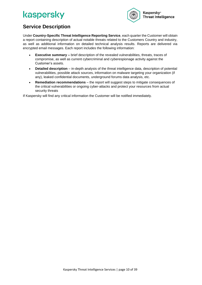

### <span id="page-9-0"></span>**Service Description**

Under **Country-Specific Threat Intelligence Reporting Service**, each quarter the Customer will obtain a report containing description of actual notable threats related to the Customers Country and industry, as well as additional information on detailed technical analysis results. Reports are delivered via encrypted email messages. Each report includes the following information:

- **Executive summary –** brief description of the revealed vulnerabilities, threats, traces of compromise, as well as current cybercriminal and cyberespionage activity against the Customer's assets.
- **Detailed description**  in-depth analysis of the threat intelligence data, description of potential vulnerabilities, possible attack sources, information on malware targeting your organization (if any), leaked confidential documents, underground forums data analysis, etc.
- **Remediation recommendations**  the report will suggest steps to mitigate consequences of the critical vulnerabilities or ongoing cyber-attacks and protect your resources from actual security threats

If Kaspersky will find any critical information the Customer will be notified immediately.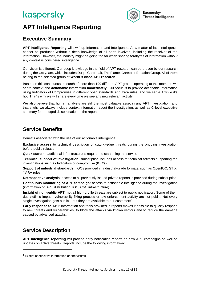

## <span id="page-10-0"></span>**APT Intelligence Reporting**

### <span id="page-10-1"></span>**Executive Summary**

**APT Intelligence Reporting** will swift up Information and Intelligence. As a matter of fact, intelligence cannot be produced without a deep knowledge of all parts involved, including the receiver of the information. However, the industry might be going too far when sharing terabytes of information without any context is considered intelligence.

Our vision is different. Our deep knowledge in the field of APT research can be proven by our research during the last years, which includes Duqu, Carbanak, The Flame, Careto or Equation Group. All of them belong to the selected group of **World´s class APT research**.

Based on this continuous research of more than **100** different APT groups operating at this moment, we share context and **actionable** information **immediately**. Our focus is to provide actionable information using Indicators of Compromise in different open standards and Yara rules, and we serve it while it's hot. That´s why we will share every time we see any new relevant activity.

We also believe that human analysts are still the most valuable asset in any APT investigation, and that´s why we always include context information about the investigation, as well as C-level executive summary for abridged dissemination of the report.

#### <span id="page-10-2"></span>**Service Benefits**

Benefits associated with the use of our actionable intelligence:

**Exclusive access** to technical description of cutting-edge threats during the ongoing investigation before public release.

**Quick start:** no additional infrastructure is required to start using the service

**Technical support of investigation**: subscription includes access to technical artifacts supporting the investigations such as Indicators of compromise (IOC's).

**Support of industrial standards**: IOCs provided in industrial-grade formats, such as OpenIOC, STIX, YARA rules.

**Retrospective analysis**: access to all previously issued private reports is provided during subscription.

**Continuous monitoring of APT campaign:** access to actionable intelligence during the investigation (information on APT distribution, IOC, C&C infrastructure).

**Insight of non-public APT:** not all high-profile threats are subject to public notification. Some of them due victim's impact, vulnerability fixing process or law enforcement activity are not public. Not every single investigation gets public – but they are available to our customers<sup>1</sup>.

**Early response to APT**: information and tools provided in reports makes it possible to quickly respond to new threats and vulnerabilities, to block the attacks via known vectors and to reduce the damage caused by advanced attacks.

### <span id="page-10-3"></span>**Service Description**

**APT intelligence reporting** will provide early notification reports on new APT campaigns as well as updates on active threats. Reports include the following information:

<sup>&</sup>lt;sup>1</sup> Except of sensitive information on the victims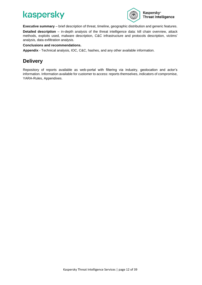

**Executive summary** – brief description of threat, timeline, geographic distribution and generic features. **Detailed description** – in-depth analysis of the threat intelligence data: kill chain overview, attack methods, exploits used, malware description, C&C infrastructure and protocols description, victims' analysis, data exfiltration analysis.

#### **Conclusions and recommendations.**

**Appendix** - Technical analysis, IOC, C&C, hashes, and any other available information.

#### <span id="page-11-0"></span>**Delivery**

Repository of reports available as web-portal with filtering via industry, geolocation and actor's information. Information available for customer to access: reports themselves, indicators of compromise, YARA-Rules, Appendixes.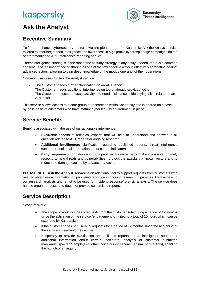

## <span id="page-12-0"></span>**Ask the Analyst**

### <span id="page-12-1"></span>**Executive Summary**

To further enhance cybersecurity posture, we are pleased to offer Kaspersky Ask the Analyst service tailored to offer heightened intelligence and awareness in high profile cyberespionage campaigns on top of aforementioned APT intelligence reporting service.

Threat intelligence sharing is in the root of the security strategy of any entity. Indeed, there is a common consensus of the importance of sharing as one of the few effective ways in effectively combating against advanced actors, allowing to gain deep knowledge of the modus operandi of their operations.

Common use cases for Ask the Analyst service:

- The Customer needs further clarification on an APT report
- The Customer needs additional intelligence on top of already provided loC's
- The Customer detected unusual activity and need assistance in identifying if it is related to an APT actor

This service allows access to a core group of researches within Kaspersky and is offered on a caseby-case basis to customers who have mature cybersecurity environment in place.

#### <span id="page-12-2"></span>**Service Benefits**

Benefits associated with the use of our actionable intelligence:

- **Exclusive access** to technical experts that will help to understand and answer to all question related to APT reports or ongoing research.
- **Additional intelligence:** clarification regarding published reports, threat intelligence support or additional information about certain indicators
- **Early response**: information and tools provided by our experts make it possible to timely respond to new threats and vulnerabilities, to block the attacks via known vectors and to reduce the damage caused by advanced attacks.

**PLEASE NOTE Ask the Analyst service** is an additional tool to support requests from customers who need to obtain more information on published reports and ongoing research. It provides direct access to our research analysts and is not to be used for incident response/forensic analysis. The service does handle urgent requests and does not provide customized reports.

### <span id="page-12-3"></span>**Service Description**

Scope of Work:

- The scope of work includes 5 requests from the customer side during a period of 12 months since the activation of the service (engagement is limited to a total of 10 hours which can be extended by Kaspersky)
- If the customer does not use all 5 requests for a period of 12 months since the beginning of the service agreement, they expire
- Kaspersky to provide clarification on published reports, threat intelligence support or additional information about certain indicators, analysis of customer submitted malware/suspected Sample(s) or other indicators via secure medium (pgp/rar+pw), enabling the launch of an inquiry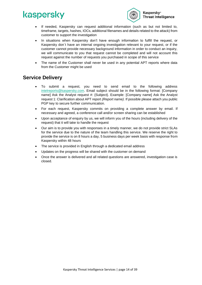

- If needed, Kaspersky can request additional information (such as but not limited to, timeframe, targets, hashes, IOCs, additional filenames and details related to the attack) from customer to support the investigation
- In situations when Kaspersky don't have enough information to fulfill the request, or Kaspersky don´t have an internal ongoing investigation relevant to your request, or if the customer cannot provide necessary background information in order to conduct an inquiry, we will communicate to you that request cannot be completed and will not account this request against the number of requests you purchased in scope of this service
- The name of the Customer shall never be used in any potential APT reports where data from the Customer might be used

#### <span id="page-13-0"></span>**Service Delivery**

- To submit a request, you need to send email to the following address [intelreports@kaspersky.com.](mailto:intelreports@kaspersky.com) Email subject should be in the following format: [Company name] Ask the Analyst request #: {Subject}. Example: [Company name] Ask the Analyst request 1: Clarification about APT report *{Report name}.* If possible please attach you public PGP key to secure further communication.
- For each request, Kaspersky commits on providing a complete answer by email. If necessary and agreed, a conference call and/or screen sharing can be established
- Upon acceptance of enquiry by us, we will inform you of the hours (including delivery of the request) that it will take to handle the request
- Our aim is to provide you with responses in a timely manner, we do not provide strict SLAs for the service due to the nature of the team handling this service. We reserve the right to provide the service is on 8 hours a day, 5 business days per week basis with response from Kaspersky within 48 hours
- The service is provided in English through a dedicated email address
- Updates on the progress will be shared with the customer on demand
- Once the answer is delivered and all related questions are answered, investigation case is closed.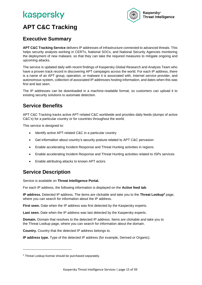

## <span id="page-14-0"></span>**APT C&C Tracking**

#### <span id="page-14-1"></span>**Executive Summary**

**APT C&C Tracking Service** delivers IP addresses of infrastructure connected to advanced threats. This helps security analysts working in CERTs, National SOCs, and National Security Agencies monitoring the deployment of new malware, so that they can take the required measures to mitigate ongoing and upcoming attacks.

The service is updated daily with recent findings of Kaspersky Global Research and Analysis Team who have a proven track record in discovering APT campaigns across the world. For each IP address, there is a name of an APT group, operation, or malware it is associated with, Internet service provider, and autonomous system, collection of associated IP addresses hosting information, and dates when this was first and last seen.

The IP addresses can be downloaded in a machine-readable format, so customers can upload it to existing security solutions to automate detection.

### <span id="page-14-2"></span>**Service Benefits**

APT C&C Tracking tracks active APT-related C&C worldwide and provides daily feeds (dumps of active C&C's) for a particular country or for countries throughout the world.

This service is designed to:

- Identify active APT-related C&C in a particular country
- Get information about country's security posture related to APT C&C pervasion
- Enable accelerating Incident Response and Threat Hunting activities in regions
- Enable accelerating Incident Response and Threat Hunting activities related to ISPs services
- Enable attributing attacks to known APT actors

### <span id="page-14-3"></span>**Service Description**

Service is available on **Threat Intelligence Portal.**

For each IP address, the following information is displayed on the **Active feed tab**:

**IP address.** Detected IP address. The items are clickable and take you to the **Threat Lookup<sup>2</sup>** page, where you can search for information about the IP address.

**First seen.** Date when the IP address was first detected by the Kaspersky experts.

Last seen. Date when the IP address was last detected by the Kaspersky experts.

**Domain.** Domain that resolves to the detected IP address. Items are clickable and take you to the Threat Lookup page, where you can [search for information about the domain.](https://tip.kaspersky.com/help/Doc_data/DomainInvestigation.htm)

**Country.** Country that the detected IP address belongs to.

**IP address type.** Type of the detected IP address (for example, Derived or Organic).

<sup>&</sup>lt;sup>2</sup> Threat Lookup license should be purchased separately.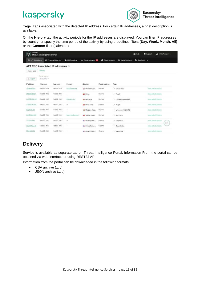

**Tags.** Tags associated with the detected IP address. For certain IP addresses, a brief description is available.

On the **History** tab, the activity periods for the IP addresses are displayed. You can filter IP addresses by country, or specify the time period of the activity by using predefined filters (**Day, Week, Month, All)** or the **Custom** filter (calendar).

| <b>Naspersky</b>  | Threat Intelligence Portal             |                                            |                     |                           |                             |                            | <b>CO</b> Help           | <b>O</b> Support          | <b>A</b> Nikita Morozov w |
|-------------------|----------------------------------------|--------------------------------------------|---------------------|---------------------------|-----------------------------|----------------------------|--------------------------|---------------------------|---------------------------|
| G APT Reporting w |                                        | <b>ED</b> Financial Reporting              | <b>GS Reporting</b> | & Threat Lookup w III     | <b><i>Choud Sandbox</i></b> | <b>B</b> Digital Footprint | <b>Ro.</b> Data Feeds w. |                           |                           |
|                   |                                        | <b>APT C&amp;C Associated IP addresses</b> |                     |                           |                             |                            |                          |                           |                           |
| Active finish     | <b>History</b>                         |                                            |                     |                           |                             |                            |                          |                           |                           |
| Export<br>×       | Ellie' by country.<br>All countries v- |                                            |                     |                           |                             |                            |                          |                           |                           |
| IP address:       | <b>First seem</b>                      | Last soon                                  | Domain              | Couritry                  | IP address type             | <b>Tags</b>                |                          |                           |                           |
| 7914317137        | Feb 11, 2021                           | Feb 11, 2021                               | styl-update.com     | <b>III</b> United Kingdo  | Derived                     | > Cloud Atlas              |                          | View actuate humans       |                           |
| 16129550.17       | Feb 10, 2021                           | Feb 10, 2021<br>ON NATIONAL                | $\sim$              | <b>Ehina</b>              | Organic                     | > Paul                     |                          | Time.actuats.natary       |                           |
| 115,201,184,131   | Feb 10, 2021                           | Fwb 10, 2021                               | MARKETT FAX         | <b>100 Catrimers</b>      | Derived                     | > Linknown MALWARE         |                          | View schuly turney        |                           |
| 1010524.199       | Feb 10, 2021                           | Feb 10, 2021                               | $\sim$              | <b>EX Hong Kong</b>       | Organic                     | > Plught                   |                          | Where additions missions  |                           |
| 87,251,71.43      | Feb 10, 2021                           | Feb 10, 2021                               | $\sim$              | <b>Big</b> Moldova (Rep.) | Organic                     | 3 Unknown MALWARE          |                          | Yes schety blday          |                           |
| 114 34 116 160    | Feb 10, 2021                           | Feb 10, 2021                               | well.inkelshek.com  | Taiwon (Provi             | <b>Derived</b>              | > BlackTech                |                          | View activity History     |                           |
| 172,104.4.61      | Feb.10, 2021                           | Feb 10, 2021                               | $\sim$              | <b>IN United States</b>   | <b>Organic</b>              | > Empire C2                |                          | <b>YOUR ROTAGE FRIDEN</b> | $(\mathbb{E})$            |
| 152.129.213.15    | Feb 10, 2021                           | Feb 10, 2021                               | $\sim$              | Mill Limited States       | Organic                     | 3 Cobattitrive             |                          | View activity tricinity   |                           |
| 30.0.121.101      | Feb.10, 2021.                          | Feb 10, 2021                               | $\sim$              | Hit United States         | Organic                     | > NanoCore                 |                          | idemoschety tutura        |                           |

### <span id="page-15-0"></span>**Delivery**

Service is available as separate tab on Threat Intelligence Portal. Information From the portal can be obtained via web-interface or using RESTful API.

Information from the portal can be downloaded in the following formats:

- CSV archive (.zip)
- JSON archive (.zip)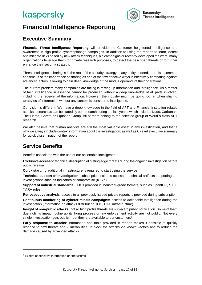

## <span id="page-16-0"></span>**Financial Intelligence Reporting**

### <span id="page-16-1"></span>**Executive Summary**

**Financial Threat Intelligence Reporting** will provide the Customer heightened intelligence and awareness in high profile cyberespionage campaigns. In addition to using the reports to learn, detect and mitigate risks posed by new attack techniques, big campaigns or recently-developed malware, many organizations leverage them for private research purposes, to detect the described threats or to further enhance their security strategy.

Threat intelligence sharing is in the root of the security strategy of any entity. Indeed, there is a common consensus of the importance of sharing as one of the few effective ways in effectively combating against advanced actors, allowing to gain deep knowledge of the modus operandi of their operations.

The current problem many companies are facing is mixing up Information and Intelligence. As a matter of fact, intelligence in essence cannot be produced without a deep knowledge of all parts involved, including the receiver of the information. However, the industry might be going too far when sharing terabytes of information without any context is considered intelligence.

Our vision is different. We have a deep knowledge in the field of APT and Financial Institution related attacks research as can be stated by our research during the last years, which includes Duqu, Carbanak, The Flame, Careto or Equation Group. All of them belong to the selected group of World´s class APT research.

We also believe that human analysts are still the most valuable asset in any investigation, and that's why we always include context information about the investigation, as well as C-level executive summary for quick dissemination of the report.

### <span id="page-16-2"></span>**Service Benefits**

Benefits associated with the use of our actionable intelligence:

**Exclusive access** to technical description of cutting edge threats during the ongoing investigation before public release.

**Quick start:** no additional infrastructure is required to start using the service

**Technical support of investigation**: subscription includes access to technical artifacts supporting the investigations such as Indicators of compromise (IOC's).

**Support of industrial standards**: IOCs provided in industrial-grade formats, such as OpenIOC, STIX, YARA rules.

**Retrospective analysis**: access to all previously issued private reports is provided during subscription.

**Continuous monitoring of cybercriminals campaigns:** access to actionable intelligence during the investigation (information on attacks distribution, IOC, C&C infrastructure).

**Insight of non-public attacks:** not all high profile threats are subject to public notification. Some of them due victim's impact, vulnerability fixing process or law enforcement activity are not public. Not every single investigation gets public  $-$  but they are available to our customers<sup>3</sup>.

**Early response to attacks**: information and tools provided in reports makes it possible to quickly respond to new threats and vulnerabilities, to block the attacks via known vectors and to reduce the damage caused by advanced attacks.

<sup>&</sup>lt;sup>3</sup> Except of sensitive information on the victims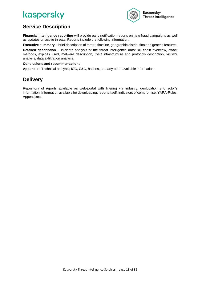

### <span id="page-17-0"></span>**Service Description**

**Financial Intelligence reporting** will provide early notification reports on new fraud campaigns as well as updates on active threats. Reports include the following information:

**Executive summary** – brief description of threat, timeline, geographic distribution and generic features.

**Detailed description** – in-depth analysis of the threat intelligence data: kill chain overview, attack methods, exploits used, malware description, C&C infrastructure and protocols description, victim's analysis, data exfiltration analysis.

#### **Conclusions and recommendations.**

**Appendix** - Technical analysis, IOC, C&C, hashes, and any other available information.

#### <span id="page-17-1"></span>**Delivery**

Repository of reports available as web-portal with filtering via industry, geolocation and actor's information. Information available for downloading: reports itself, indicators of compromise, YARA-Rules, Appendixes.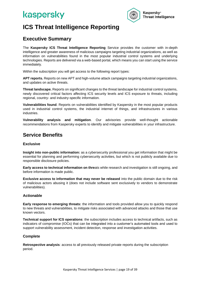

### <span id="page-18-0"></span>**ICS Threat Intelligence Reporting**

### <span id="page-18-1"></span>**Executive Summary**

The **Kaspersky ICS Threat Intelligence Reporting** Service provides the customer with in-depth intelligence and greater awareness of malicious campaigns targeting industrial organizations, as well as information on vulnerabilities found in the most popular industrial control systems and underlying technologies. Reports are delivered via a web-based portal, which means you can start using the service immediately.

Within the subscription you will get access to the following report types:

**APT reports.** Reports on new APT and high-volume attack campaigns targeting industrial organizations, and updates on active threats.

**Threat landscape.** Reports on significant changes to the threat landscape for industrial control systems, newly discovered critical factors affecting ICS security levels and ICS exposure to threats, including regional, country- and industry-specific information.

**Vulnerabilities found**. Reports on vulnerabilities identified by Kaspersky in the most popular products used in industrial control systems, the industrial internet of things, and infrastructures in various industries.

**Vulnerability analysis and mitigation**. Our advisories provide well-thought actionable recommendations from Kaspersky experts to identify and mitigate vulnerabilities in your infrastructure.

#### <span id="page-18-2"></span>**Service Benefits**

#### <span id="page-18-3"></span>**Exclusive**

**Insight into non-public information:** as a cybersecurity professional you get information that might be essential for planning and performing cybersecurity activities, but which is not publicly available due to responsible disclosure policies.

**Early access to technical information on thre**ats while research and investigation is still ongoing, and before information is made public.

**Exclusive access to information that may never be released** into the public domain due to the risk of malicious actors abusing it (does not include software sent exclusively to vendors to demonstrate vulnerabilities).

#### <span id="page-18-4"></span>**Actionable**

**Early response to emerging threats:** the information and tools provided allow you to quickly respond to new threats and vulnerabilities, to mitigate risks associated with advanced attacks and those that use known vectors.

**Technical support for ICS operations**: the subscription includes access to technical artifacts, such as indicators of compromise (IOCs) that can be integrated into a customer's automated tools and used to support vulnerability assessment, incident detection, response and investigation activities.

#### <span id="page-18-5"></span>**Complete**

**Retrospective analysis**: access to all previously released private reports during the subscription period.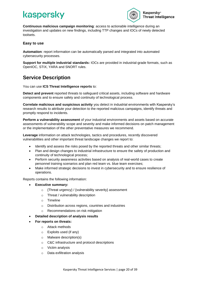

**Continuous malicious campaign monitoring**: access to actionable intelligence during an investigation and updates on new findings, including TTP changes and IOCs of newly detected toolsets.

#### <span id="page-19-0"></span>**Easy to use**

**Automation**: report information can be automatically parsed and integrated into automated cybersecurity processes.

**Support for multiple industrial standards:** IOCs are provided in industrial-grade formats, such as OpenIOC, STIX, YARA and SNORT rules.

#### <span id="page-19-1"></span>**Service Description**

You can use **ICS Threat Intelligence reports** to:

**Detect and prevent** reported threats to safeguard critical assets, including software and hardware components and to ensure safety and continuity of technological process.

**Correlate malicious and suspicious activity** you detect in industrial environments with Kaspersky's research results to attribute your detection to the reported malicious campaigns, identify threats and promptly respond to incidents.

**Perform a vulnerability assessment** of your industrial environments and assets based on accurate assessments of vulnerability scope and severity and make informed decisions on patch management or the implementation of the other preventative measures we recommend.

**Leverage** information on attack technologies, tactics and procedures, recently discovered vulnerabilities and other important threat landscape changes we report to:

- Identify and assess the risks posed by the reported threats and other similar threats;
- Plan and design changes to industrial infrastructure to ensure the safety of production and continuity of technological process;
- Perform security awareness activities based on analysis of real-world cases to create personnel training scenarios and plan red team vs. blue team exercises;
- Make informed strategic decisions to invest in cybersecurity and to ensure resilience of operations.

Reports contains the following information:

- **Executive summary:**
	- o {Threat urgency} / {vulnerability severity} assessment
	- o Threat / vulnerability description
	- o Timeline
	- o Distribution across regions, countries and industries
	- o Recommendations on risk mitigation
- **Detailed description of analysis results**
- **For reports on threats:**
	- o Attack methods
	- o Exploits used (if any)
	- o Malware description(s)
	- o C&C infrastructure and protocol descriptions
	- o Victim analysis
	- o Data exfiltration analysis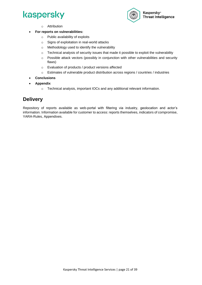

- o Attribution
- **For reports on vulnerabilities:**
	- o Public availability of exploits
	- o Signs of exploitation in real-world attacks
	- o Methodology used to identify the vulnerability
	- o Technical analysis of security issues that made it possible to exploit the vulnerability
	- o Possible attack vectors (possibly in conjunction with other vulnerabilities and security flaws)
	- o Evaluation of products / product versions affected
	- o Estimates of vulnerable product distribution across regions / countries / industries
- **Conclusions**
- **Appendix**
	- o Technical analysis, important IOCs and any additional relevant information.

#### <span id="page-20-0"></span>**Delivery**

Repository of reports available as web-portal with filtering via industry, geolocation and actor's information. Information available for customer to access: reports themselves, indicators of compromise, YARA-Rules, Appendixes.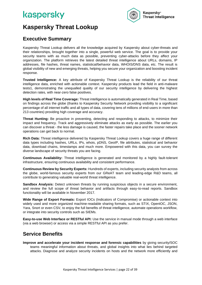

### <span id="page-21-0"></span>**Kaspersky Threat Lookup**

#### <span id="page-21-1"></span>**Executive Summary**

Kaspersky Threat Lookup delivers all the knowledge acquired by Kaspersky about cyber-threats and their relationships, brought together into a single, powerful web service. The goal is to provide your security teams with as much data as possible, preventing cyber-attacks before they affect your organization. The platform retrieves the latest detailed threat intelligence about URLs, domains, IP addresses, file hashes, threat names, statistical/behavior data, WHOIS/DNS data, etc. The result is global visibility of new and emerging threats, helping you secure your organization and boosting incident response.

**Trusted Intelligence:** A key attribute of Kaspersky Threat Lookup is the reliability of our threat intelligence data, enriched with actionable context. Kaspersky products lead the field in anti-malware tests1, demonstrating the unequalled quality of our security intelligence by delivering the highest detection rates, with near-zero false positives.

**High levels of Real Time Coverage:** Threat intelligence is automatically generated in Real Time, based on findings across the globe (thanks to Kaspersky Security Network providing visibility to a significant percentage of all internet traffic and all types of data, covering tens of millions of end-users in more than 213 countries) providing high coverage and accuracy.

**Threat Hunting:** Be proactive in preventing, detecting and responding to attacks, to minimize their impact and frequency. Track and aggressively eliminate attacks as early as possible. The earlier you can discover a threat - the less damage is caused, the faster repairs take place and the sooner network operations can get back to normal.

**Rich Data:** Threat intelligence delivered by Kaspersky Threat Lookup covers a huge range of different data types including hashes, URLs, IPs, whois, pDNS, GeoIP, file attributes, statistical and behavior data, download chains, timestamps and much more. Empowered with this data, you can survey the diverse landscape of security threats you are facing.

**Continuous Availability:** Threat intelligence is generated and monitored by a highly fault-tolerant infrastructure, ensuring continuous availability and consistent performance.

**Continuous Review by Security Experts:** Hundreds of experts, including security analysts from across the globe, world-famous security experts from our GReAT team and leading-edge R&D teams, all contribute to generating valuable real-world threat intelligence.

**Sandbox Analysis:** Detect unknown threats by running suspicious objects in a secure environment, and review the full scope of threat behavior and artifacts through easy-to-read reports. Sandbox functionality will be available in November 2017.

**Wide Range of Export Formats:** Export IOCs (Indicators of Compromise) or actionable context into widely used and more organized machine-readable sharing formats, such as STIX, OpenIOC, JSON, Yara, Snort or even CSV, to enjoy the full benefits of threat intelligence, automate operations workflow, or integrate into security controls such as SIEMs.

**Easy-to-use Web Interface or RESTful API:** Use the service in manual mode through a web interface (via a web browser) or access via a simple RESTful API as you prefer.

#### <span id="page-21-2"></span>**Service Benefits**

**Improve and accelerate your incident response and forensic capabilities** by giving security/SOC teams meaningful information about threats, and global insights into what lies behind targeted attacks. Diagnose and analyze security incidents on hosts and the network more efficiently and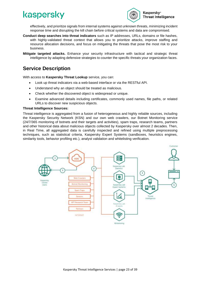

effectively, and prioritize signals from internal systems against unknown threats, minimizing incident response time and disrupting the kill chain before critical systems and data are compromised.

- **Conduct deep searches into threat indicators** such as IP addresses, URLs, domains or file hashes, with highly-validated threat context that allows you to prioritize attacks, improve staffing and resource allocation decisions, and focus on mitigating the threats that pose the most risk to your business.
- **Mitigate targeted attacks.** Enhance your security infrastructure with tactical and strategic threat intelligence by adapting defensive strategies to counter the specific threats your organization faces.

### <span id="page-22-0"></span>**Service Description**

With access to **Kaspersky Threat Lookup** service, you can:

- Look up threat indicators via a web-based interface or via the RESTful API.
- Understand why an object should be treated as malicious.
- Check whether the discovered object is widespread or unique.
- Examine advanced details including certificates, commonly used names, file paths, or related URLs to discover new suspicious objects.

#### **Threat Intelligence Sources:**

Threat intelligence is aggregated from a fusion of heterogeneous and highly reliable sources, including the Kaspersky Security Network (KSN) and our own web crawlers, our Botnet Monitoring service (24/7/365 monitoring of botnets and their targets and activities), spam traps, research teams, partners and other historical data about malicious objects collected by Kaspersky over almost 2 decades. Then, in Real Time, all aggregated data is carefully inspected and refined using multiple preprocessing techniques, such as statistical criteria, Kaspersky Expert Systems (sandboxes, heuristics engines, similarity tools, behavior profiling etc.), analyst validation and whitelisting verification.

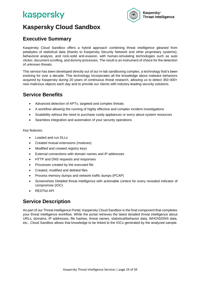

### <span id="page-23-0"></span>**Kaspersky Cloud Sandbox**

### <span id="page-23-1"></span>**Executive Summary**

Kaspersky Cloud Sandbox offers a hybrid approach combining threat intelligence gleaned from petabytes of statistical data (thanks to Kaspersky Security Network and other proprietary systems), behavioral analysis, and rock-solid anti-evasion, with human-simulating technologies such as auto clicker, document scrolling, and dummy processes. The result is an instrument of choice for the detection of unknown threats.

This service has been developed directly out of our in-lab sandboxing complex, a technology that's been evolving for over a decade. This technology incorporates all the knowledge about malware behaviors acquired by Kaspersky during 20 years of continuous threat research, allowing us to detect 350 000+ new malicious objects each day and to provide our clients with industry-leading security solutions.

#### <span id="page-23-2"></span>**Service Benefits**

- Advanced detection of APTs, targeted and complex threats
- A workflow allowing the running of highly effective and complex incident investigations
- Scalability without the need to purchase costly appliances or worry about system resources
- Seamless integration and automation of your security operations

Key features:

- Loaded and run DLLs
- Created mutual extensions (mutexes)
- Modified and created registry keys
- External connections with domain names and IP addresses
- HTTP and DNS requests and responses
- Processes created by the executed file
- Created, modified and deleted files
- Process memory dumps and network traffic dumps (PCAP)
- Screenshots Detailed threat intelligence with actionable context for every revealed indicator of compromise (IOC)
- RESTful API

#### <span id="page-23-3"></span>**Service Description**

As part of our Threat intelligence Portal, Kaspersky Cloud Sandbox is the final component that completes your threat intelligence workflow. While the portal retrieves the latest detailed threat intelligence about URLs, domains, IP addresses, file hashes, threat names, statistical/behavior data, WHOIS/DNS data, etc., Cloud Sandbox allows that knowledge to be linked to the IOCs generated by the analyzed sample.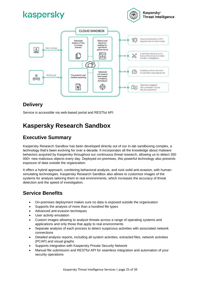

It offers a hybrid approach, combining behavioral analysis, and rock-solid anti-evasion, with human-

- <span id="page-24-2"></span>• On-premises deployment makes sure no data is exposed outside the organization
- Supports the analysis of more than a hundred file types
- Advanced anti-evasion techniques
- User activity emulation
- Custom images allowing to analyze threats across a range of operating systems and applications and only those that apply to real environments
- Separate analysis of each process to detect suspicious activities with associated network connections
- Detailed analysis reports, including all system activities, extracted files, network activities (PCAP) and visual graphs
- Supports integration with Kaspersky Private Security Network
- Manual file submission and RESTful API for seamless integration and automation of your security operations

## <span id="page-24-0"></span>**Kaspersky Research Sandbox**

### <span id="page-24-1"></span>**Executive Summary**

**Delivery**

Kaspersky Research Sandbox has been developed directly out of our in-lab sandboxing complex, a technology that's been evolving for over a decade. It incorporates all the knowledge about malware behaviors acquired by Kaspersky throughout our continuous threat research, allowing us to detect 350 000+ new malicious objects every day. Deployed on-premises, this powerful technology also prevents exposure of data outside the organization.

Service is accessible via web-based portal and RESTful API.

#### Advanced<br>analysis of files Default and targeted and complex threat advanced in various sattings for formats optimized Web interface L performance A worldlow atlowing to run  $\mathcal{H}^{\prime}$ QL. highly effective and complex 496 incident investigations 行节 Scalability without the need Advanced<br>anti-evasion 2 to purchase costly applances **RESTIVIAR** Visualization and and human **Intuitive reporting** 田心目 simulating techniques Seamless integration €  $\mathbb{G}$ and automation of your security operations

**CLOUD SANDBOX** 





Advanced detection of APT,

争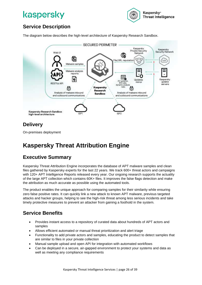

### <span id="page-25-0"></span>**Service Description**

The diagram below describes the high-level architecture of Kaspersky Research Sandbox.



### **Delivery**

On-premises deployment

## <span id="page-25-1"></span>**Kaspersky Threat Attribution Engine**

### <span id="page-25-2"></span>**Executive Summary**

Kaspersky Threat Attribution Engine incorporates the database of APT malware samples and clean files gathered by Kaspersky experts for the last 22 years. We track 600+ threat actors and campaigns with 120+ APT Intelligence Reports released every year. Our ongoing research supports the actuality of the large APT collection which contains 60K+ files. It improves the false flags detection and make the attribution as much accurate as possible using the automated tools.

The product enables the unique approach for comparing samples for their similarity while ensuring zero false positive rates. It can quickly link a new attack to known APT malware, previous targeted attacks and hacker groups, helping to see the high-risk threat among less serious incidents and take timely protective measures to prevent an attacker from gaining a foothold in the system.

### <span id="page-25-3"></span>**Service Benefits**

- Provides instant access to a repository of curated data about hundreds of APT actors and samples
- Allows efficient automated or manual threat prioritization and alert triage
- Functionality to add private actors and samples, educating the product to detect samples that are similar to files in your private collection
- Manual sample upload and open API for integration with automated workflows
- Can be deployed in a secure, air-gapped environment to protect your systems and data as well as meeting any compliance requirements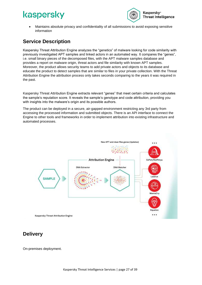

• Maintains absolute privacy and confidentiality of all submissions to avoid exposing sensitive information

### <span id="page-26-0"></span>**Service Description**

Kaspersky Threat Attribution Engine analyzes the "genetics" of malware looking for code similarity with previously investigated APT samples and linked actors in an automated way. It compares the "genes", i.e. small binary pieces of the decomposed files, with the APT malware samples database and provides a report on malware origin, threat actors and file similarity with known APT samples. Moreover, the product allows security teams to add private actors and objects to its database and educate the product to detect samples that are similar to files in your private collection. With the Threat Attribution Engine the attribution process only takes seconds comparing to the years it was required in the past.

Kaspersky Threat Attribution Engine extracts relevant "genes" that meet certain criteria and calculates the sample's reputation score. It reveals the sample's genotype and code attribution, providing you with insights into the malware's origin and its possible authors.

The product can be deployed in a secure, air-gapped environment restricting any 3rd party from accessing the processed information and submitted objects. There is an API interface to connect the Engine to other tools and frameworks in order to implement attribution into existing infrastructure and automated processes.



### **Delivery**

On-premises deployment.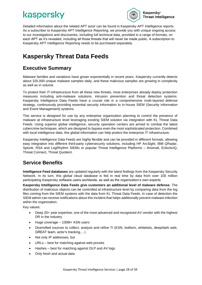

Detailed information about the related APT actor can be found in Kaspersky APT Intelligence reports. As a subscriber to Kaspersky APT Intelligence Reporting, we provide you with unique ongoing access to our investigations and discoveries, including full technical data, provided in a range of formats, on each APT as it's revealed, including all those threats that will never be made public. A subscription to Kaspersky APT Intelligence Reporting needs to be purchased separately.

### <span id="page-27-0"></span>**Kaspersky Threat Data Feeds**

### <span id="page-27-1"></span>**Executive Summary**

Malware families and variations have grown exponentially in recent years. Kaspersky currently detects about 325,000 unique malware samples daily, and these malicious samples are growing in complexity as well as in volume.

To protect their IT-infrastructure from all these new threats, most enterprises already deploy protection measures including anti-malware solutions, intrusion prevention and threat detection systems. Kaspersky Intelligence Data Feeds have a crucial role in a comprehensive multi-layered defense strategy, continuously providing essential security information to in-house SIEM (Security Information and Event Management) systems.

This service is designed for use by any enterprise organization planning to control the presence of malware at infrastructure level leveraging existing SIEM solution via integration with KL Threat Data Feeds. Using superior global intelligence, security operation centers are armed to combat the latest cybercrime techniques, which are designed to bypass even the most sophisticated protection. Combined with local intelligence data, this global information can help protect the enterprise IT-infrastructure.

Kaspersky Intelligence Data Feeds are highly flexible and can be provided in different formats, allowing easy integration into different third-party cybersecurity solutions, including HP ArcSight, IBM QRadar, Splunk, RSA and LogRhythm SIEMs or popular Threat Intelligence Platforms – Anomali, EclecticIQ, Threat Connect, Threat Quotient.

### <span id="page-27-2"></span>**Service Benefits**

**Intelligence Feed databases** are updated regularly with the latest findings from the Kaspersky Security Network. In its turn, this global cloud database is fed in real time by data from over 100 million participating Kaspersky software users worldwide, as well as the organization's own experts.

**Kaspersky Intelligence Data Feeds give customers an additional level of malware defense.** The distribution of malicious objects can be controlled at infrastructure level by comparing data from the log files coming from the SIEM systems with the data from KL Threat Data Feeds. In case of detection the SIEM admin can receive notifications about this incident that helps additionally prevent malware infection within the organization.

Key values:

- Deep 20+ year expertise, one of the most advanced and recognized AV vendor with the highest DR in the industry
- Huge coverage 100M+ KSN users
- Diversified sources to collect, analyze and refine TI (KSN, botfarm, whitelists, deep/dark web, GREAT team, actor's tracking,…)
- Not only IP addresses, but
- URLs best for matching against web proxies
- Hashes best for matching against DLP and AV logs
- Only fresh and actual data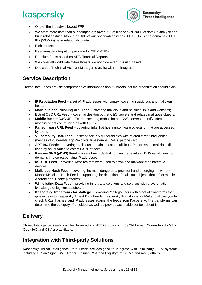

- One of the industry's lowest FPR
- We store more data than our competitors (over 30B of files or over 20PB of data) to analyze and build relationships. More than 10B of our observables (files (20B+), URLs and domains (10B+), IPs (500M+)) have relationship data.
- Rich context
- Ready-made integration package for SIEMs/TIPs
- Premium feeds based on APT/Financial Reports
- We cover all worldwide cyber threats, do not hide even Russian based
- Dedicated Technical Account Manager to assist with the integration

#### <span id="page-28-0"></span>**Service Description**

Threat Data Feeds provide comprehensive information about Threats that the organization should block:

- **IP Reputation Feed** a set of IP addresses with context covering suspicious and malicious hosts;
- **Malicious and Phishing URL Feed** covering malicious and phishing links and websites;
- Botnet C&C URL Feed covering desktop botnet C&C servers and related malicious objects;
- **Mobile Botnet C&C URL Feed** covering mobile botnet C&C servers. Identify infected machines that communicates with C&Cs;
- **Ransomware URL Feed** covering links that host ransomware objects or that are accessed by them.
- **Vulnerability Data Feed** a set of security vulnerabilities with related threat intelligence (hashes of vulnerable apps/exploits, timestamps, CVEs, patches etc.).
- **APT IoC Feeds** covering malicious domains, hosts, malicious IP addresses, malicious files used by adversaries to commit APT attacks.
- **Passive DNS (pDNS) Feed** a set of records that contain the results of DNS resolutions for domains into corresponding IP addresses
- **IoT URL Feed** covering websites that were used to download malware that infects IoT devices
- **Malicious Hash Feed** covering the most dangerous, prevalent and emerging malware; Mobile Malicious Hash Feed – supporting the detection of malicious objects that infect mobile Android and iPhone platforms;
- **Whitelisting Data Feed** providing third-party solutions and services with a systematic knowledge of legitimate software.
- **Kaspersky Transforms for Maltego** providing Maltego users with a set of transforms that give access to Kaspersky Threat Data Feeds. Kaspersky Transforms for Maltego allows you to check URLs, hashes, and IP addresses against the feeds from Kaspersky. The transforms can determine the category of an object as well as provide actionable context about it.

### <span id="page-28-1"></span>**Delivery**

Threat Intelligence Feeds can be delivered via HTTPs protocol in JSON format. Convertors to STIX, Open IoC and CSV are available.

### <span id="page-28-2"></span>**Integration with Third-party Solutions**

Kaspersky Threat Intelligence Data Feeds are designed to integrate with third-party SIEM systems including HP ArcSight, IBM QRadar, Splunk, RSA and LogRhythm SIEMs and many others.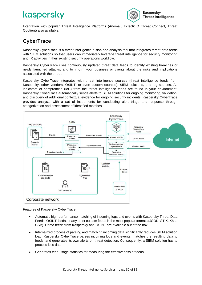

Integration with popular Threat Intelligence Platforms (Anomali, EclecticIQ Threat Connect, Threat Quotient) also available.

### <span id="page-29-0"></span>**CyberTrace**

Kaspersky CyberTrace is a threat intelligence fusion and analysis tool that integrates threat data feeds with SIEM solutions so that users can immediately leverage threat intelligence for security monitoring and IR activities in their existing security operations workflow.

Kaspersky CyberTrace uses continuously updated threat data feeds to identify existing breaches or newly launched attacks, and to inform your business or clients about the risks and implications associated with the threat.

Kaspersky CyberTrace integrates with threat intelligence sources (threat intelligence feeds from Kaspersky, other vendors, OSINT, or even custom sources), SIEM solutions, and log sources. As indicators of compromise (IoC) from the threat intelligence feeds are found in your environment, Kaspersky CyberTrace automatically sends alerts to SIEM solutions for ongoing monitoring, validation, and discovery of additional contextual evidence for ongoing security incidents. Kaspersky CyberTrace provides analysts with a set of instruments for conducting alert triage and response through categorization and assessment of identified matches.



Features of Kaspersky CyberTrace:

- Automatic high-performance matching of incoming logs and events with Kaspersky Threat Data Feeds, OSINT feeds, or any other custom feeds in the most popular formats (JSON, STIX, XML, CSV). Demo feeds from Kaspersky and OSINT are available out of the box.
- Internalized process of parsing and matching incoming data significantly reduces SIEM solution load. Kaspersky CyberTrace parses incoming logs and events, matches the resulting data to feeds, and generates its own alerts on threat detection. Consequently, a SIEM solution has to process less data.
- Generates feed usage statistics for measuring the effectiveness of feeds.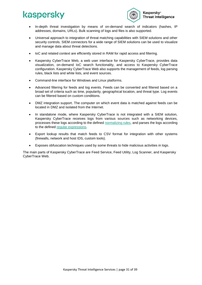

- In-depth threat investigation by means of on-demand search of indicators (hashes, IP addresses, domains, URLs). Bulk scanning of logs and files is also supported.
- Universal approach to integration of threat matching capabilities with SIEM solutions and other security controls. SIEM connectors for a wide range of SIEM solutions can be used to visualize and manage data about threat detections.
- IoC and related context are efficiently stored in RAM for rapid access and filtering.
- Kaspersky CyberTrace Web, a web user interface for Kaspersky CyberTrace, provides data visualization, on-demand IoC search functionality, and access to Kaspersky CyberTrace configuration. Kaspersky CyberTrace Web also supports the management of feeds, log parsing rules, black lists and white lists, and event sources.
- Command-line interface for Windows and Linux platforms.
- Advanced filtering for feeds and log events. Feeds can be converted and filtered based on a broad set of criteria such as time, popularity, geographical location, and threat type. Log events can be filtered based on custom conditions.
- DMZ integration support. The computer on which event data is matched against feeds can be located in DMZ and isolated from the Internet.
- In standalone mode, where Kaspersky CyberTrace is not integrated with a SIEM solution, Kaspersky CyberTrace receives logs from various sources such as networking devices, processes these logs according to the defined [normalizing rules,](https://help.kaspersky.com/CyberTrace/1.0/en-US/173932.htm) and parses the logs according to the defined [regular expressions.](https://help.kaspersky.com/CyberTrace/1.0/en-US/171632.htm)
- Export lookup results that match feeds to CSV format for integration with other systems (firewalls, network and host IDS, custom tools).
- Exposes obfuscation techniques used by some threats to hide malicious activities in logs.

The main parts of Kaspersky CyberTrace are [Feed Service,](https://help.kaspersky.com/CyberTrace/1.0/en-US/169257.htm) [Feed Utility,](https://help.kaspersky.com/CyberTrace/1.0/en-US/171402.htm) [Log Scanner,](https://help.kaspersky.com/CyberTrace/1.0/en-US/171643.htm) and [Kaspersky](https://help.kaspersky.com/CyberTrace/1.0/en-US/169259.htm)  [CyberTrace Web.](https://help.kaspersky.com/CyberTrace/1.0/en-US/169259.htm)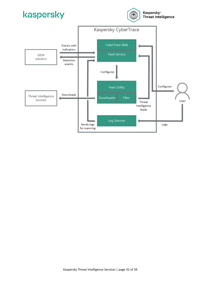

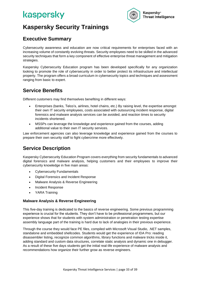

## <span id="page-32-0"></span>**Kaspersky Security Trainings**

### <span id="page-32-1"></span>**Executive Summary**

Cybersecurity awareness and education are now critical requirements for enterprises faced with an increasing volume of constantly evolving threats. Security employees need to be skilled in the advanced security techniques that form a key component of effective enterprise threat management and mitigation strategies.

Kaspersky Cybersecurity Education program has been developed specifically for any organization looking to promote the role of cybersecurity in order to better protect its infrastructure and intellectual property. The program offers a broad curriculum in cybersecurity topics and techniques and assessment ranging from basic to expert.

#### <span id="page-32-2"></span>**Service Benefits**

Different customers may find themselves benefiting in different ways:

- Enterprises (banks, Telco's, airlines, hotel chains, etc.) By raising level, the expertise amongst their own IT security employees, costs associated with outsourcing incident response, digital forensics and malware analysis services can be avoided, and reaction times to security incidents shortened.
- MSSPs can leverage the knowledge and experience gained from the courses, adding additional value to their own IT security services.

Law enforcement agencies can also leverage knowledge and experience gained from the courses to prepare their own security staff to fight cybercrime more effectively.

### <span id="page-32-3"></span>**Service Description**

Kaspersky Cybersecurity Education Program covers everything from security fundamentals to advanced digital forensics and malware analysis, helping customers and their employees to improve their cybersecurity knowledge in five main areas:

- Cybersecurity Fundamentals
- Digital Forensics and Incident Response
- Malware Analysis & Reverse Engineering
- Incident Response
- YARA Training

#### <span id="page-32-4"></span>**Malware Analysis & Reverse Engineering**

This five-day training is dedicated to the basics of reverse engineering. Some previous programming experience is crucial for the students. They don't have to be professional programmers, but our experience shows that for students with system administration or penetration testing expertise assembly language part of the training is hard due to lack of analogies in their previous experience.

Through the course they would face PE files, compiled with Microsoft Visual Studio, .NET samples, standalone and embedded shellcodes. Students would get the experience of IDA Pro: reading disassembler listing, recognize common algorithms, library functions and malware tricks inside it, adding standard and custom data structures, correlate static analysis and dynamic one in debugger. As a result of these five days students get the initial real-life experience of malware analysis and recommendations how organize their further grow as reverse engineers.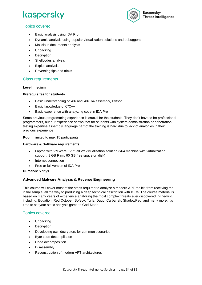

#### Topics covered

- Basic analysis using IDA Pro
- Dynamic analysis using popular virtualization solutions and debuggers
- Malicious documents analysis
- **Unpacking**
- Decryption
- Shellcodes analysis
- **Exploit analysis**
- Reversing tips and tricks

#### Class requirements

**Level:** medium

#### **Prerequisites for students:**

- Basic understanding of x86 and x86\_64 assembly, Python
- Basic knowledge of C/C++
- Basic experience with analyzing code in IDA Pro

Some previous programming experience is crucial for the students. They don't have to be professional programmers, but our experience shows that for students with system administration or penetration testing expertise assembly language part of the training is hard due to lack of analogies in their previous experience

**Room:** limited to max 15 participants

#### **Hardware & Software requirements:**

- Laptop with VMWare / VirtualBox virtualization solution (x64 machine with virtualization support, 8 GB Ram, 60 GB free space on disk)
- Internet connection
- Free or full version of IDA Pro

#### **Duration:** 5 days

#### <span id="page-33-0"></span>**Advanced Malware Analysis & Reverse Engineering**

This course will cover most of the steps required to analyze a modern APT toolkit, from receiving the initial sample, all the way to producing a deep technical description with IOCs. The course material is based on many years of experience analyzing the most complex threats ever discovered in-the-wild, including: Equation, Red October, Sofacy, Turla, Duqu, Carbanak, ShadowPad, and many more. It's time to set your static analysis game to God-Mode.

#### Topics covered

- **Unpacking**
- Decryption
- Developing own decryptors for common scenarios
- Byte code decompilation
- Code decomposition
- Disassembly
- Reconstruction of modern APT architectures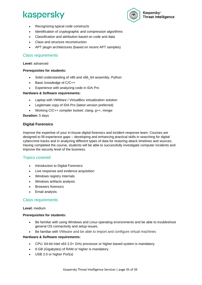

- Recognizing typical code constructs
- Identification of cryptographic and compression algorithms
- Classification and attribution based on code and data
- Class and structure reconstruction
- APT plugin architectures (based on recent APT samples)

#### Class requirements

#### **Level:** advanced

#### **Prerequisites for students:**

- Solid understanding of x86 and x86\_64 assembly, Python
- Basic knowledge of C/C++
- Experience with analyzing code in IDA Pro

#### **Hardware & Software requirements:**

- Laptop with VMWare / VirtualBox virtualization solution
- Legitimate copy of IDA Pro (latest version preferred)
- Working C/C++ compiler toolset: clang, g++, mingw

#### **Duration:** 5 days

#### <span id="page-34-0"></span>**Digital Forensics**

Improve the expertise of your in-house digital forensics and incident response team. Courses are designed to fill experience gaps – developing and enhancing practical skills in searching for digital cybercrime tracks and in analyzing different types of data for restoring attack timelines and sources. Having completed the course, students will be able to successfully investigate computer incidents and improve the security level of the business.

#### Topics covered

- Introduction to Digital Forensics
- Live response and evidence acquisition
- Windows registry internals
- Windows artifacts analysis
- Browsers forensics
- Email analysis

#### Class requirements

#### **Level:** medium

#### **Prerequisites for students:**

- Be familiar with using Windows and Linux operating environments and be able to troubleshoot general OS connectivity and setup issues.
- Be familiar with VMware and be able to import and configure virtual machines

#### **Hardware & Software requirements:**

- CPU: 64-bit Intel x64 2.0+ GHz processor or higher-based system is mandatory.
- 8 GB (Gigabytes) of RAM or higher is mandatory.
- USB 2.0 or higher Port(s)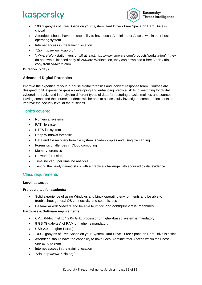

- 100 Gigabytes of Free Space on your System Hard Drive Free Space on Hard Drive is critical.
- Attendees should have the capability to have Local Administrator Access within their host operating system.
- Internet access in the training location.
- 7Zip, http://www.7-zip.org/
- VMware Workstation version 10 at least, http://www.vmware.com/products/workstation/ If they do not own a licensed copy of VMware Workstation, they can download a free 30-day trial copy from VMware.com.

**Duration:** 5 days

#### <span id="page-35-0"></span>**Advanced Digital Forensics**

Improve the expertise of your in-house digital forensics and incident response team. Courses are designed to fill experience gaps – developing and enhancing practical skills in searching for digital cybercrime tracks and in analyzing different types of data for restoring attack timelines and sources. Having completed the course, students will be able to successfully investigate computer incidents and improve the security level of the business.

#### Topics covered

- Numerical systems
- FAT file system
- NTFS file system
- Deep Windows forensics
- Data and file recovery from file system, shadow copies and using file carving
- Forensics challenges in Cloud computing
- Memory forensics
- Network forensics
- Timeline vs SuperTimeline analysis
- Testing the newly gained skills with a practical challenge with acquired digital evidence

#### Class requirements

**Level:** advanced

#### **Prerequisites for students:**

- Solid experience of using Windows and Linux operating environments and be able to troubleshoot general OS connectivity and setup issues
- Be familiar with VMware and be able to import and configure virtual machines

#### **Hardware & Software requirements:**

- CPU: 64-bit Intel x64 2.0+ GHz processor or higher-based system is mandatory
- 8 GB (Gigabytes) of RAM or higher is mandatory
- USB 2.0 or higher Port(s)
- 100 Gigabytes of Free Space on your System Hard Drive Free Space on Hard Drive is critical
- Attendees should have the capability to have Local Administrator Access within their host operating system
- Internet access in the training location
- 7Zip, http://www.7-zip.org/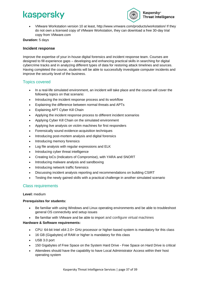

• VMware Workstation version 10 at least, http://www.vmware.com/products/workstation/ If they do not own a licensed copy of VMware Workstation, they can download a free 30-day trial copy from VMware.com

**Duration:** 5 days

#### <span id="page-36-0"></span>**Incident response**

Improve the expertise of your in-house digital forensics and incident response team. Courses are designed to fill experience gaps – developing and enhancing practical skills in searching for digital cybercrime tracks and in analyzing different types of data for restoring attack timelines and sources. Having completed the course, students will be able to successfully investigate computer incidents and improve the security level of the business.

#### Topics covered

- In a real-life simulated environment, an incident will take place and the course will cover the following topics on that scenario:
- Introducing the incident response process and its workflow
- Explaining the difference between normal threats and APTs
- Explaining APT Cyber Kill Chain
- Applying the incident response process to different incident scenarios
- Applying Cyber Kill Chain on the simulated environment
- Applying live analysis on victim machines for first responders
- Forensically sound evidence-acquisition techniques
- Introducing post-mortem analysis and digital forensics
- Introducing memory forensics
- Log file analysis with regular expressions and ELK
- Introducing cyber threat intelligence
- Creating IoCs (Indicators of Compromise), with YARA and SNORT
- Introducing malware analysis and sandboxing
- Introducing network traffic forensics
- Discussing incident analysis reporting and recommendations on building CSIRT
- Testing the newly gained skills with a practical challenge in another simulated scenario

#### Class requirements

#### **Level:** medium

#### **Prerequisites for students:**

- Be familiar with using Windows and Linux operating environments and be able to troubleshoot general OS connectivity and setup issues
- Be familiar with VMware and be able to import and configure virtual machines

#### **Hardware & Software requirements:**

- CPU: 64-bit Intel x64 2.0+ GHz processor or higher-based system is mandatory for this class
- 16 GB (Gigabytes) of RAM or higher is mandatory for this class
- USB 3.0 port
- 150 Gigabytes of Free Space on the System Hard Drive Free Space on Hard Drive is critical
- Attendees should have the capability to have Local Administrator Access within their host operating system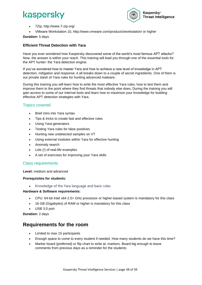

- 7Zip, http://www.7-zip.org/
- VMware Workstation 10, http://www.vmware.com/products/workstation/ or higher

#### **Duration:** 5 days

#### <span id="page-37-0"></span>**Efficient Threat Detection with Yara**

Have you ever wondered how Kaspersky discovered some of the world's most famous APT attacks? Now, the answer is within your reach. This training will lead you through one of the essential tools for the APT hunter: the Yara detection engine.

If you've wondered how to master Yara and how to achieve a new level of knowledge in APT detection, mitigation and response, it all breaks down to a couple of secret ingredients. One of them is our private stash of Yara rules for hunting advanced malware.

During this training you will learn how to write the most effective Yara rules, how to test them and improve them to the point where they find threats that nobody else does. During the training you will gain access to some of our internal tools and learn how to maximize your knowledge for building effective APT detection strategies with Yara.

#### Topics covered

- Brief intro into Yara syntax
- Tips & tricks to create fast and effective rules
- Using Yara-generators
- Testing Yara rules for false positives
- Hunting new undetected samples on VT
- Using external modules within Yara for effective hunting
- Anomaly search
- Lots (!) of real-life examples
- A set of exercises for improving your Yara skills

#### Class requirements

**Level:** medium and advanced

#### **Prerequisites for students:**

• Knowledge of the Yara language and basic rules

#### **Hardware & Software requirements:**

- CPU: 64-bit Intel x64 2.0+ GHz processor or higher-based system is mandatory for this class
- 16 GB (Gigabytes) of RAM or higher is mandatory for this class
- USB 3.0 port

**Duration:** 2 days

#### <span id="page-37-1"></span>**Requirements for the room**

- Limited to max 15 participants
- Enough space to come to every student if needed. How many students do we have this time?
- Marker board (preferred) or flip chart to write at, markers. Board big enough to leave comments from previous days as a reminder for the students